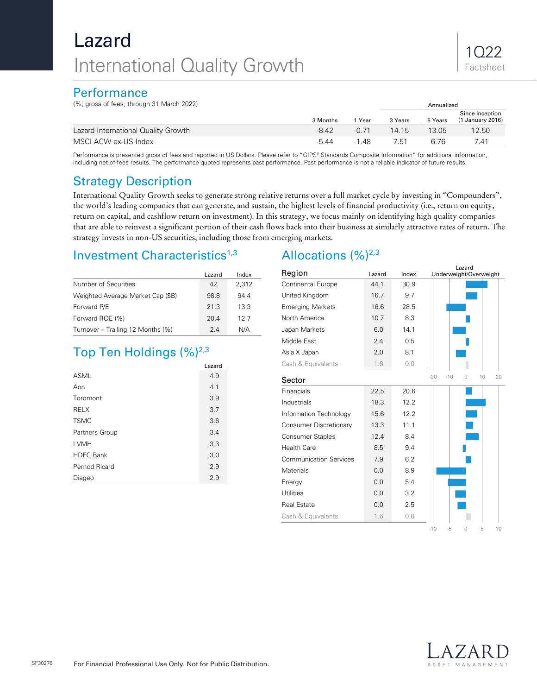# Lazard International Quality Growth

### **Performance**

(%; gross of fees; through 31 March 2022) Annualized Superior Control of the Superior Control of Annualized

|          |       |         |         | Since Inception   |
|----------|-------|---------|---------|-------------------|
| 3 Months | Year  | 3 Years | 5 Years | (1 January 2016)  |
| $-8.42$  | -0.71 | 14.15   | 13.05   | 12.50             |
| $-5.44$  | -1 48 | 7.51    | 6. 76   | 7.41              |
|          |       |         |         | <b>AUTURULE</b> U |

Performance is presented gross of fees and reported in US Dollars. Please refer to "GIPS® Standards Composite Information" for additional information, including net-of-fees results. The performance quoted represents past performance. Past performance is not a reliable indicator of future results.

# Strategy Description

International Quality Growth seeks to generate strong relative returns over a full market cycle by investing in "Compounders", the world's leading companies that can generate, and sustain, the highest levels of financial productivity (i.e., return on equity, return on capital, and cashflow return on investment). In this strategy, we focus mainly on identifying high quality companies that are able to reinvest a significant portion of their cash flows back into their business at similarly attractive rates of return. The strategy invests in non-US securities, including those from emerging markets.

## Investment Characteristics<sup>1,3</sup>

|                                   | Lazard | Index |
|-----------------------------------|--------|-------|
| Number of Securities              | 42     | 2,312 |
| Weighted Average Market Cap (\$B) | 98.8   | 94.4  |
| Forward P/E                       | 21.3   | 13.3  |
| Forward ROE (%)                   | 20.4   | 12.7  |
| Turnover - Trailing 12 Months (%) | 24     | N/A   |

# Top Ten Holdings  $(\frac{9}{6})^{2,3}$

|                  | Lazard |
|------------------|--------|
| <b>ASML</b>      | 4.9    |
| Aon              | 4.1    |
| Toromont         | 3.9    |
| <b>RELX</b>      | 3.7    |
| <b>TSMC</b>      | 3.6    |
| Partners Group   | 3.4    |
| LVMH             | 3.3    |
| <b>HDFC Bank</b> | 3.0    |
| Pernod Ricard    | 2.9    |
| Diageo           | 2.9    |

# Allocations  $(\frac{9}{6})^{2,3}$

| Region                        | Lazard<br>Underweight/Overweight<br>Lazard<br>Index |      |                                 |  |  |  |
|-------------------------------|-----------------------------------------------------|------|---------------------------------|--|--|--|
| <b>Continental Europe</b>     | 44.1                                                | 30.9 |                                 |  |  |  |
| United Kingdom                | 16.7                                                | 9.7  |                                 |  |  |  |
| <b>Emerging Markets</b>       | 16.6                                                | 28.5 |                                 |  |  |  |
| North America                 | 10.7                                                | 8.3  |                                 |  |  |  |
| Japan Markets                 | 6.0                                                 | 14.1 |                                 |  |  |  |
| Middle East                   | 2.4                                                 | 0.5  |                                 |  |  |  |
| Asia X Japan                  | 2.0                                                 | 8.1  |                                 |  |  |  |
| Cash & Equivalents            | 1.6                                                 | 0.0  |                                 |  |  |  |
| Sector                        |                                                     |      | $-20$<br>$-10$<br>10<br>20<br>U |  |  |  |
| Financials                    | 22.5                                                | 20.6 |                                 |  |  |  |
| Industrials                   | 18.3                                                | 12.2 |                                 |  |  |  |
| Information Technology        | 15.6                                                | 12.2 |                                 |  |  |  |
| <b>Consumer Discretionary</b> | 13.3                                                | 11.1 |                                 |  |  |  |
| <b>Consumer Staples</b>       | 12.4                                                | 8.4  |                                 |  |  |  |
| <b>Health Care</b>            | 8.5                                                 | 9.4  |                                 |  |  |  |
| <b>Communication Services</b> | 7.9                                                 | 6.2  |                                 |  |  |  |
| Materials                     | 0.0                                                 | 8.9  |                                 |  |  |  |
| Energy                        | 0.0                                                 | 5.4  |                                 |  |  |  |
| <b>Utilities</b>              | 0.0                                                 | 3.2  |                                 |  |  |  |
| <b>Real Estate</b>            | 0.0                                                 | 2.5  |                                 |  |  |  |
| Cash & Equivalents            | 1.6                                                 | 0.0  |                                 |  |  |  |
|                               |                                                     |      | $-10$<br>$-5$<br>5<br>10<br>Ω   |  |  |  |